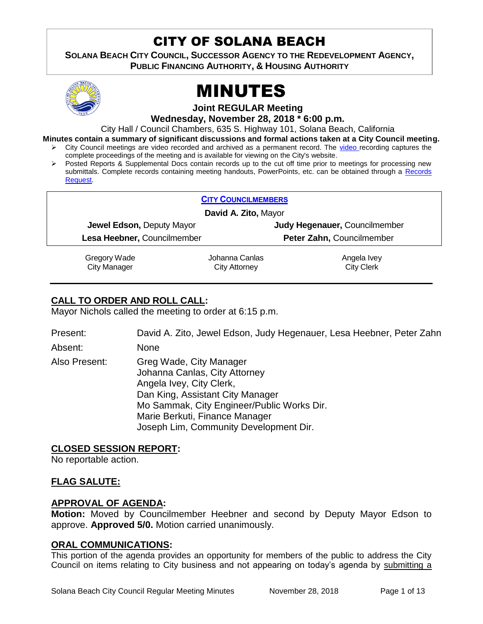# CITY OF SOLANA BEACH

**SOLANA BEACH CITY COUNCIL, SUCCESSOR AGENCY TO THE REDEVELOPMENT AGENCY, PUBLIC FINANCING AUTHORITY, & HOUSING AUTHORITY** 



# MINUTES

**Joint REGULAR Meeting**

**Wednesday, November 28, 2018 \* 6:00 p.m.**

City Hall / Council Chambers, 635 S. Highway 101, Solana Beach, California

**Minutes contain a summary of significant discussions and formal actions taken at a City Council meeting.**

- City Council meetings are video recorded and archived as a permanent record. The [video r](https://solanabeach.12milesout.com/#page=1)ecording captures the complete proceedings of the meeting and is available for viewing on the City's website.
- Posted Reports & Supplemental Docs contain records up to the cut off time prior to meetings for processing new submittals. Complete records containing meeting handouts, PowerPoints, etc. can be obtained through a [Records](http://www.ci.solana-beach.ca.us/index.asp?SEC=F5D45D10-70CE-4291-A27C-7BD633FC6742&Type=B_BASIC)  [Request.](http://www.ci.solana-beach.ca.us/index.asp?SEC=F5D45D10-70CE-4291-A27C-7BD633FC6742&Type=B_BASIC)

| <b>CITY COUNCILMEMBERS</b>  |                |                               |  |
|-----------------------------|----------------|-------------------------------|--|
| David A. Zito, Mayor        |                |                               |  |
| Jewel Edson, Deputy Mayor   |                | Judy Hegenauer, Councilmember |  |
| Lesa Heebner, Councilmember |                | Peter Zahn, Councilmember     |  |
| Gregory Wade                | Johanna Canlas | Angela Ivey                   |  |

City Manager

Johanna Canlas City Attorney

Angela Ivey City Clerk

# **CALL TO ORDER AND ROLL CALL:**

Mayor Nichols called the meeting to order at 6:15 p.m.

Present: David A. Zito, Jewel Edson, Judy Hegenauer, Lesa Heebner, Peter Zahn

Absent: None

Also Present: Greg Wade, City Manager Johanna Canlas, City Attorney Angela Ivey, City Clerk, Dan King, Assistant City Manager Mo Sammak, City Engineer/Public Works Dir. Marie Berkuti, Finance Manager Joseph Lim, Community Development Dir.

# **CLOSED SESSION REPORT:**

No reportable action.

# **FLAG SALUTE:**

# **APPROVAL OF AGENDA:**

**Motion:** Moved by Councilmember Heebner and second by Deputy Mayor Edson to approve. **Approved 5/0.** Motion carried unanimously.

# **ORAL COMMUNICATIONS:**

This portion of the agenda provides an opportunity for members of the public to address the City Council on items relating to City business and not appearing on today's agenda by submitting a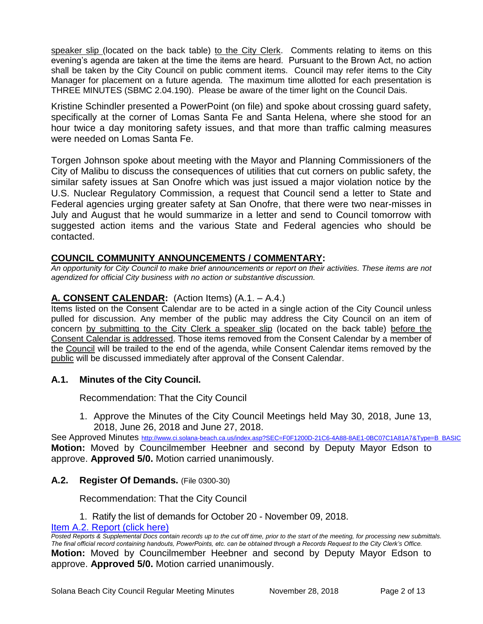speaker slip (located on the back table) to the City Clerk. Comments relating to items on this evening's agenda are taken at the time the items are heard. Pursuant to the Brown Act, no action shall be taken by the City Council on public comment items. Council may refer items to the City Manager for placement on a future agenda. The maximum time allotted for each presentation is THREE MINUTES (SBMC 2.04.190). Please be aware of the timer light on the Council Dais.

Kristine Schindler presented a PowerPoint (on file) and spoke about crossing guard safety, specifically at the corner of Lomas Santa Fe and Santa Helena, where she stood for an hour twice a day monitoring safety issues, and that more than traffic calming measures were needed on Lomas Santa Fe.

Torgen Johnson spoke about meeting with the Mayor and Planning Commissioners of the City of Malibu to discuss the consequences of utilities that cut corners on public safety, the similar safety issues at San Onofre which was just issued a major violation notice by the U.S. Nuclear Regulatory Commission, a request that Council send a letter to State and Federal agencies urging greater safety at San Onofre, that there were two near-misses in July and August that he would summarize in a letter and send to Council tomorrow with suggested action items and the various State and Federal agencies who should be contacted.

# **COUNCIL COMMUNITY ANNOUNCEMENTS / COMMENTARY:**

*An opportunity for City Council to make brief announcements or report on their activities. These items are not agendized for official City business with no action or substantive discussion.* 

# **A. CONSENT CALENDAR:** (Action Items) (A.1. – A.4.)

Items listed on the Consent Calendar are to be acted in a single action of the City Council unless pulled for discussion. Any member of the public may address the City Council on an item of concern by submitting to the City Clerk a speaker slip (located on the back table) before the Consent Calendar is addressed. Those items removed from the Consent Calendar by a member of the Council will be trailed to the end of the agenda, while Consent Calendar items removed by the public will be discussed immediately after approval of the Consent Calendar.

#### **A.1. Minutes of the City Council.**

Recommendation: That the City Council

1. Approve the Minutes of the City Council Meetings held May 30, 2018, June 13, 2018, June 26, 2018 and June 27, 2018.

See Approved Minutes [http://www.ci.solana-beach.ca.us/index.asp?SEC=F0F1200D-21C6-4A88-8AE1-0BC07C1A81A7&Type=B\\_BASIC](http://www.ci.solana-beach.ca.us/index.asp?SEC=F0F1200D-21C6-4A88-8AE1-0BC07C1A81A7&Type=B_BASIC) **Motion:** Moved by Councilmember Heebner and second by Deputy Mayor Edson to approve. **Approved 5/0.** Motion carried unanimously.

# **A.2. Register Of Demands.** (File 0300-30)

Recommendation: That the City Council

1. Ratify the list of demands for October 20 - November 09, 2018.

# [Item A.2. Report \(click here\)](https://solanabeach.govoffice3.com/vertical/Sites/%7B840804C2-F869-4904-9AE3-720581350CE7%7D/uploads/Item_A.2._Report_(click_here)_-_11-28-18.PDF)

*Posted Reports & Supplemental Docs contain records up to the cut off time, prior to the start of the meeting, for processing new submittals. The final official record containing handouts, PowerPoints, etc. can be obtained through a Records Request to the City Clerk's Office.* **Motion:** Moved by Councilmember Heebner and second by Deputy Mayor Edson to approve. **Approved 5/0.** Motion carried unanimously.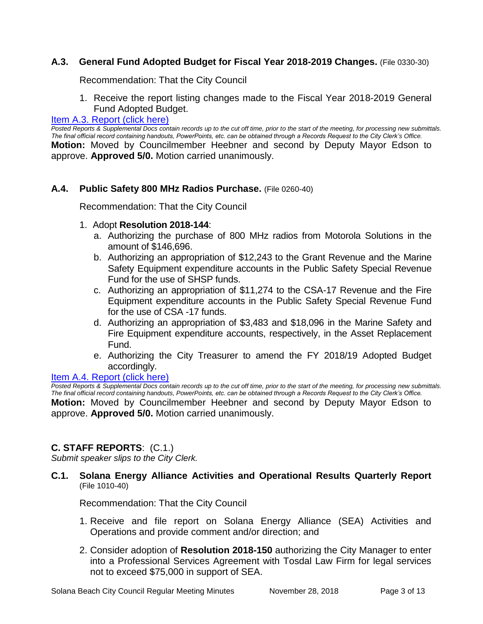# **A.3. General Fund Adopted Budget for Fiscal Year 2018-2019 Changes.** (File 0330-30)

Recommendation: That the City Council

1. Receive the report listing changes made to the Fiscal Year 2018-2019 General Fund Adopted Budget.

# [Item A.3. Report \(click here\)](https://solanabeach.govoffice3.com/vertical/Sites/%7B840804C2-F869-4904-9AE3-720581350CE7%7D/uploads/Item_A.3._Report_(click_here)_-_11-28-18.PDF)

*Posted Reports & Supplemental Docs contain records up to the cut off time, prior to the start of the meeting, for processing new submittals. The final official record containing handouts, PowerPoints, etc. can be obtained through a Records Request to the City Clerk's Office.* **Motion:** Moved by Councilmember Heebner and second by Deputy Mayor Edson to approve. **Approved 5/0.** Motion carried unanimously.

# **A.4. Public Safety 800 MHz Radios Purchase.** (File 0260-40)

Recommendation: That the City Council

# 1. Adopt **Resolution 2018-144**:

- a. Authorizing the purchase of 800 MHz radios from Motorola Solutions in the amount of \$146,696.
- b. Authorizing an appropriation of \$12,243 to the Grant Revenue and the Marine Safety Equipment expenditure accounts in the Public Safety Special Revenue Fund for the use of SHSP funds.
- c. Authorizing an appropriation of \$11,274 to the CSA-17 Revenue and the Fire Equipment expenditure accounts in the Public Safety Special Revenue Fund for the use of CSA -17 funds.
- d. Authorizing an appropriation of \$3,483 and \$18,096 in the Marine Safety and Fire Equipment expenditure accounts, respectively, in the Asset Replacement Fund.
- e. Authorizing the City Treasurer to amend the FY 2018/19 Adopted Budget accordingly.

#### [Item A.4. Report \(click here\)](https://solanabeach.govoffice3.com/vertical/Sites/%7B840804C2-F869-4904-9AE3-720581350CE7%7D/uploads/Item_A.4._Report_(click_here)_-_11-28-18.PDF)

*Posted Reports & Supplemental Docs contain records up to the cut off time, prior to the start of the meeting, for processing new submittals. The final official record containing handouts, PowerPoints, etc. can be obtained through a Records Request to the City Clerk's Office.*

**Motion:** Moved by Councilmember Heebner and second by Deputy Mayor Edson to approve. **Approved 5/0.** Motion carried unanimously.

# **C. STAFF REPORTS**: (C.1.)

*Submit speaker slips to the City Clerk.*

**C.1. Solana Energy Alliance Activities and Operational Results Quarterly Report**  (File 1010-40)

Recommendation: That the City Council

- 1. Receive and file report on Solana Energy Alliance (SEA) Activities and Operations and provide comment and/or direction; and
- 2. Consider adoption of **Resolution 2018-150** authorizing the City Manager to enter into a Professional Services Agreement with Tosdal Law Firm for legal services not to exceed \$75,000 in support of SEA.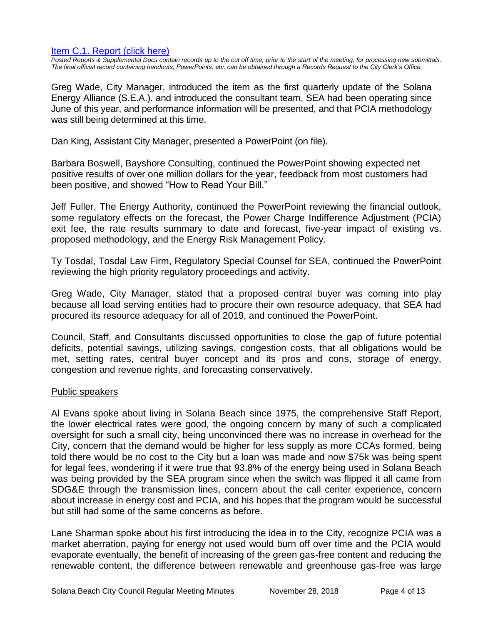#### [Item C.1. Report \(click here\)](https://solanabeach.govoffice3.com/vertical/Sites/%7B840804C2-F869-4904-9AE3-720581350CE7%7D/uploads/Item_C.1._Report_(click_here)_-_11-28-18.pdf)

*Posted Reports & Supplemental Docs contain records up to the cut off time, prior to the start of the meeting, for processing new submittals. The final official record containing handouts, PowerPoints, etc. can be obtained through a Records Request to the City Clerk's Office.*

Greg Wade, City Manager, introduced the item as the first quarterly update of the Solana Energy Alliance (S.E.A.). and introduced the consultant team, SEA had been operating since June of this year, and performance information will be presented, and that PCIA methodology was still being determined at this time.

Dan King, Assistant City Manager, presented a PowerPoint (on file).

Barbara Boswell, Bayshore Consulting, continued the PowerPoint showing expected net positive results of over one million dollars for the year, feedback from most customers had been positive, and showed "How to Read Your Bill."

Jeff Fuller, The Energy Authority, continued the PowerPoint reviewing the financial outlook, some regulatory effects on the forecast, the Power Charge Indifference Adjustment (PCIA) exit fee, the rate results summary to date and forecast, five-year impact of existing vs. proposed methodology, and the Energy Risk Management Policy.

Ty Tosdal, Tosdal Law Firm, Regulatory Special Counsel for SEA, continued the PowerPoint reviewing the high priority regulatory proceedings and activity.

Greg Wade, City Manager, stated that a proposed central buyer was coming into play because all load serving entities had to procure their own resource adequacy, that SEA had procured its resource adequacy for all of 2019, and continued the PowerPoint.

Council, Staff, and Consultants discussed opportunities to close the gap of future potential deficits, potential savings, utilizing savings, congestion costs, that all obligations would be met, setting rates, central buyer concept and its pros and cons, storage of energy, congestion and revenue rights, and forecasting conservatively.

#### Public speakers

Al Evans spoke about living in Solana Beach since 1975, the comprehensive Staff Report, the lower electrical rates were good, the ongoing concern by many of such a complicated oversight for such a small city, being unconvinced there was no increase in overhead for the City, concern that the demand would be higher for less supply as more CCAs formed, being told there would be no cost to the City but a loan was made and now \$75k was being spent for legal fees, wondering if it were true that 93.8% of the energy being used in Solana Beach was being provided by the SEA program since when the switch was flipped it all came from SDG&E through the transmission lines, concern about the call center experience, concern about increase in energy cost and PCIA, and his hopes that the program would be successful but still had some of the same concerns as before.

Lane Sharman spoke about his first introducing the idea in to the City, recognize PCIA was a market aberration, paying for energy not used would burn off over time and the PCIA would evaporate eventually, the benefit of increasing of the green gas-free content and reducing the renewable content, the difference between renewable and greenhouse gas-free was large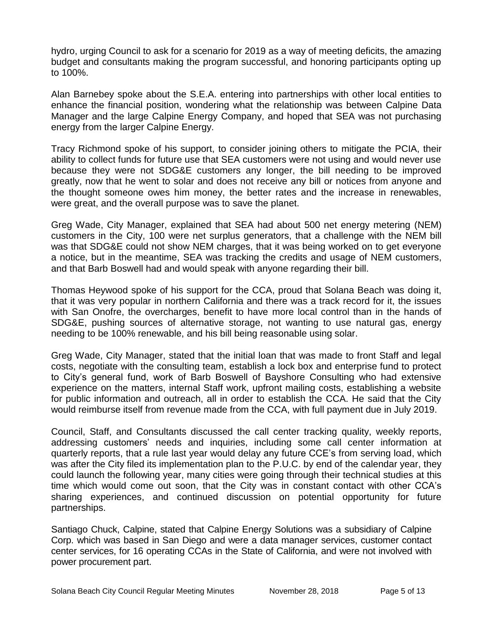hydro, urging Council to ask for a scenario for 2019 as a way of meeting deficits, the amazing budget and consultants making the program successful, and honoring participants opting up to 100%.

Alan Barnebey spoke about the S.E.A. entering into partnerships with other local entities to enhance the financial position, wondering what the relationship was between Calpine Data Manager and the large Calpine Energy Company, and hoped that SEA was not purchasing energy from the larger Calpine Energy.

Tracy Richmond spoke of his support, to consider joining others to mitigate the PCIA, their ability to collect funds for future use that SEA customers were not using and would never use because they were not SDG&E customers any longer, the bill needing to be improved greatly, now that he went to solar and does not receive any bill or notices from anyone and the thought someone owes him money, the better rates and the increase in renewables, were great, and the overall purpose was to save the planet.

Greg Wade, City Manager, explained that SEA had about 500 net energy metering (NEM) customers in the City, 100 were net surplus generators, that a challenge with the NEM bill was that SDG&E could not show NEM charges, that it was being worked on to get everyone a notice, but in the meantime, SEA was tracking the credits and usage of NEM customers, and that Barb Boswell had and would speak with anyone regarding their bill.

Thomas Heywood spoke of his support for the CCA, proud that Solana Beach was doing it, that it was very popular in northern California and there was a track record for it, the issues with San Onofre, the overcharges, benefit to have more local control than in the hands of SDG&E, pushing sources of alternative storage, not wanting to use natural gas, energy needing to be 100% renewable, and his bill being reasonable using solar.

Greg Wade, City Manager, stated that the initial loan that was made to front Staff and legal costs, negotiate with the consulting team, establish a lock box and enterprise fund to protect to City's general fund, work of Barb Boswell of Bayshore Consulting who had extensive experience on the matters, internal Staff work, upfront mailing costs, establishing a website for public information and outreach, all in order to establish the CCA. He said that the City would reimburse itself from revenue made from the CCA, with full payment due in July 2019.

Council, Staff, and Consultants discussed the call center tracking quality, weekly reports, addressing customers' needs and inquiries, including some call center information at quarterly reports, that a rule last year would delay any future CCE's from serving load, which was after the City filed its implementation plan to the P.U.C. by end of the calendar year, they could launch the following year, many cities were going through their technical studies at this time which would come out soon, that the City was in constant contact with other CCA's sharing experiences, and continued discussion on potential opportunity for future partnerships.

Santiago Chuck, Calpine, stated that Calpine Energy Solutions was a subsidiary of Calpine Corp. which was based in San Diego and were a data manager services, customer contact center services, for 16 operating CCAs in the State of California, and were not involved with power procurement part.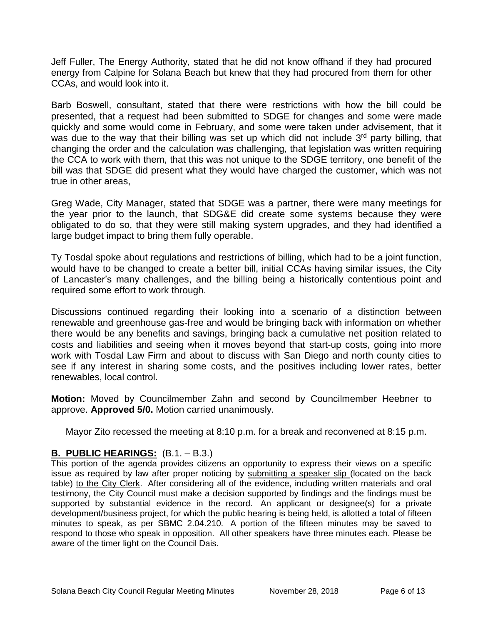Jeff Fuller, The Energy Authority, stated that he did not know offhand if they had procured energy from Calpine for Solana Beach but knew that they had procured from them for other CCAs, and would look into it.

Barb Boswell, consultant, stated that there were restrictions with how the bill could be presented, that a request had been submitted to SDGE for changes and some were made quickly and some would come in February, and some were taken under advisement, that it was due to the way that their billing was set up which did not include 3<sup>rd</sup> party billing, that changing the order and the calculation was challenging, that legislation was written requiring the CCA to work with them, that this was not unique to the SDGE territory, one benefit of the bill was that SDGE did present what they would have charged the customer, which was not true in other areas,

Greg Wade, City Manager, stated that SDGE was a partner, there were many meetings for the year prior to the launch, that SDG&E did create some systems because they were obligated to do so, that they were still making system upgrades, and they had identified a large budget impact to bring them fully operable.

Ty Tosdal spoke about regulations and restrictions of billing, which had to be a joint function, would have to be changed to create a better bill, initial CCAs having similar issues, the City of Lancaster's many challenges, and the billing being a historically contentious point and required some effort to work through.

Discussions continued regarding their looking into a scenario of a distinction between renewable and greenhouse gas-free and would be bringing back with information on whether there would be any benefits and savings, bringing back a cumulative net position related to costs and liabilities and seeing when it moves beyond that start-up costs, going into more work with Tosdal Law Firm and about to discuss with San Diego and north county cities to see if any interest in sharing some costs, and the positives including lower rates, better renewables, local control.

**Motion:** Moved by Councilmember Zahn and second by Councilmember Heebner to approve. **Approved 5/0.** Motion carried unanimously.

Mayor Zito recessed the meeting at 8:10 p.m. for a break and reconvened at 8:15 p.m.

# **B. PUBLIC HEARINGS:** (B.1. – B.3.)

This portion of the agenda provides citizens an opportunity to express their views on a specific issue as required by law after proper noticing by submitting a speaker slip (located on the back table) to the City Clerk. After considering all of the evidence, including written materials and oral testimony, the City Council must make a decision supported by findings and the findings must be supported by substantial evidence in the record. An applicant or designee(s) for a private development/business project, for which the public hearing is being held, is allotted a total of fifteen minutes to speak, as per SBMC 2.04.210. A portion of the fifteen minutes may be saved to respond to those who speak in opposition. All other speakers have three minutes each. Please be aware of the timer light on the Council Dais.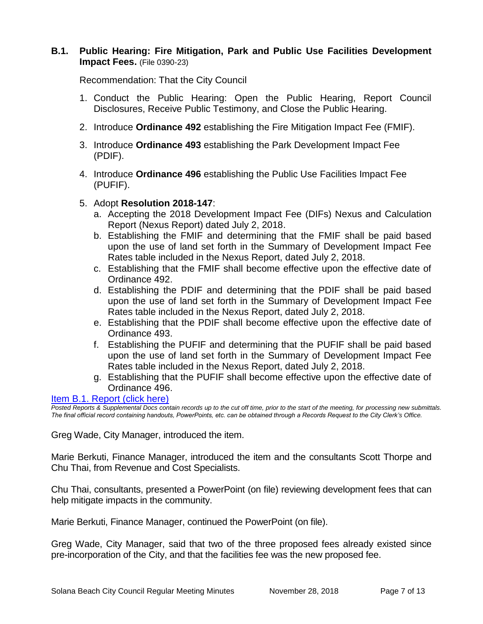# **B.1. Public Hearing: Fire Mitigation, Park and Public Use Facilities Development Impact Fees.** (File 0390-23)

Recommendation: That the City Council

- 1. Conduct the Public Hearing: Open the Public Hearing, Report Council Disclosures, Receive Public Testimony, and Close the Public Hearing.
- 2. Introduce **Ordinance 492** establishing the Fire Mitigation Impact Fee (FMIF).
- 3. Introduce **Ordinance 493** establishing the Park Development Impact Fee (PDIF).
- 4. Introduce **Ordinance 496** establishing the Public Use Facilities Impact Fee (PUFIF).
- 5. Adopt **Resolution 2018-147**:
	- a. Accepting the 2018 Development Impact Fee (DIFs) Nexus and Calculation Report (Nexus Report) dated July 2, 2018.
	- b. Establishing the FMIF and determining that the FMIF shall be paid based upon the use of land set forth in the Summary of Development Impact Fee Rates table included in the Nexus Report, dated July 2, 2018.
	- c. Establishing that the FMIF shall become effective upon the effective date of Ordinance 492.
	- d. Establishing the PDIF and determining that the PDIF shall be paid based upon the use of land set forth in the Summary of Development Impact Fee Rates table included in the Nexus Report, dated July 2, 2018.
	- e. Establishing that the PDIF shall become effective upon the effective date of Ordinance 493.
	- f. Establishing the PUFIF and determining that the PUFIF shall be paid based upon the use of land set forth in the Summary of Development Impact Fee Rates table included in the Nexus Report, dated July 2, 2018.
	- g. Establishing that the PUFIF shall become effective upon the effective date of Ordinance 496.

#### [Item B.1. Report \(click here\)](https://solanabeach.govoffice3.com/vertical/Sites/%7B840804C2-F869-4904-9AE3-720581350CE7%7D/uploads/Item_B.1._Report_(click_here)_-_11-28-18.pdf)

*Posted Reports & Supplemental Docs contain records up to the cut off time, prior to the start of the meeting, for processing new submittals. The final official record containing handouts, PowerPoints, etc. can be obtained through a Records Request to the City Clerk's Office.*

Greg Wade, City Manager, introduced the item.

Marie Berkuti, Finance Manager, introduced the item and the consultants Scott Thorpe and Chu Thai, from Revenue and Cost Specialists.

Chu Thai, consultants, presented a PowerPoint (on file) reviewing development fees that can help mitigate impacts in the community.

Marie Berkuti, Finance Manager, continued the PowerPoint (on file).

Greg Wade, City Manager, said that two of the three proposed fees already existed since pre-incorporation of the City, and that the facilities fee was the new proposed fee.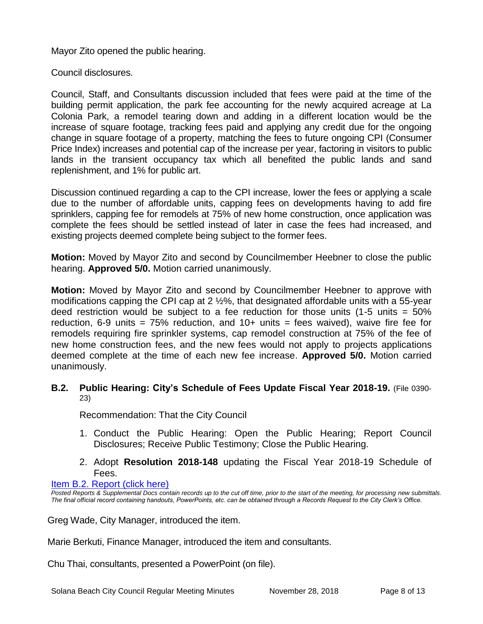Mayor Zito opened the public hearing.

Council disclosures.

Council, Staff, and Consultants discussion included that fees were paid at the time of the building permit application, the park fee accounting for the newly acquired acreage at La Colonia Park, a remodel tearing down and adding in a different location would be the increase of square footage, tracking fees paid and applying any credit due for the ongoing change in square footage of a property, matching the fees to future ongoing CPI (Consumer Price Index) increases and potential cap of the increase per year, factoring in visitors to public lands in the transient occupancy tax which all benefited the public lands and sand replenishment, and 1% for public art.

Discussion continued regarding a cap to the CPI increase, lower the fees or applying a scale due to the number of affordable units, capping fees on developments having to add fire sprinklers, capping fee for remodels at 75% of new home construction, once application was complete the fees should be settled instead of later in case the fees had increased, and existing projects deemed complete being subject to the former fees.

**Motion:** Moved by Mayor Zito and second by Councilmember Heebner to close the public hearing. **Approved 5/0.** Motion carried unanimously.

**Motion:** Moved by Mayor Zito and second by Councilmember Heebner to approve with modifications capping the CPI cap at 2 ½%, that designated affordable units with a 55-year deed restriction would be subject to a fee reduction for those units  $(1-5 \text{ units} = 50\%)$ reduction, 6-9 units =  $75\%$  reduction, and  $10+$  units = fees waived), waive fire fee for remodels requiring fire sprinkler systems, cap remodel construction at 75% of the fee of new home construction fees, and the new fees would not apply to projects applications deemed complete at the time of each new fee increase. **Approved 5/0.** Motion carried unanimously.

# **B.2. Public Hearing: City's Schedule of Fees Update Fiscal Year 2018-19.** (File 0390- 23)

Recommendation: That the City Council

- 1. Conduct the Public Hearing: Open the Public Hearing; Report Council Disclosures; Receive Public Testimony; Close the Public Hearing.
- 2. Adopt **Resolution 2018-148** updating the Fiscal Year 2018-19 Schedule of Fees.

#### [Item B.2. Report \(click here\)](https://solanabeach.govoffice3.com/vertical/Sites/%7B840804C2-F869-4904-9AE3-720581350CE7%7D/uploads/Item_B.2._Report_(click_here)_-_11-28-18.pdf)

*Posted Reports & Supplemental Docs contain records up to the cut off time, prior to the start of the meeting, for processing new submittals. The final official record containing handouts, PowerPoints, etc. can be obtained through a Records Request to the City Clerk's Office.*

Greg Wade, City Manager, introduced the item.

Marie Berkuti, Finance Manager, introduced the item and consultants.

Chu Thai, consultants, presented a PowerPoint (on file).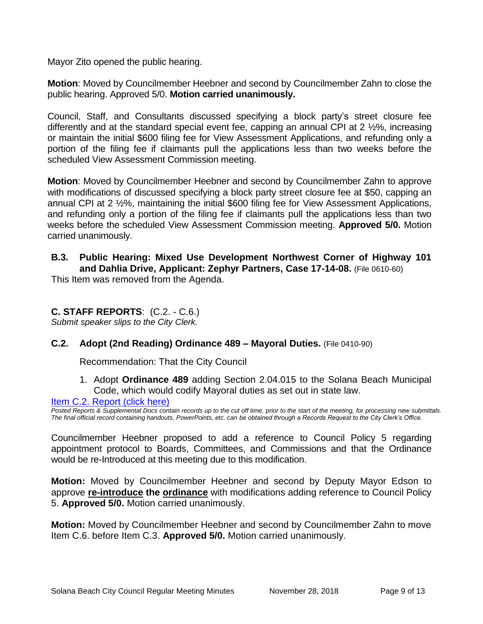Mayor Zito opened the public hearing.

**Motion**: Moved by Councilmember Heebner and second by Councilmember Zahn to close the public hearing. Approved 5/0. **Motion carried unanimously.**

Council, Staff, and Consultants discussed specifying a block party's street closure fee differently and at the standard special event fee, capping an annual CPI at 2 ½%, increasing or maintain the initial \$600 filing fee for View Assessment Applications, and refunding only a portion of the filing fee if claimants pull the applications less than two weeks before the scheduled View Assessment Commission meeting.

**Motion**: Moved by Councilmember Heebner and second by Councilmember Zahn to approve with modifications of discussed specifying a block party street closure fee at \$50, capping an annual CPI at 2 ½%, maintaining the initial \$600 filing fee for View Assessment Applications, and refunding only a portion of the filing fee if claimants pull the applications less than two weeks before the scheduled View Assessment Commission meeting. **Approved 5/0.** Motion carried unanimously.

# **B.3. Public Hearing: Mixed Use Development Northwest Corner of Highway 101 and Dahlia Drive, Applicant: Zephyr Partners, Case 17-14-08.** (File 0610-60)

This Item was removed from the Agenda.

# **C. STAFF REPORTS**: (C.2. - C.6.)

*Submit speaker slips to the City Clerk.*

# **C.2. Adopt (2nd Reading) Ordinance 489 – Mayoral Duties.** (File 0410-90)

Recommendation: That the City Council

1. Adopt **Ordinance 489** adding Section 2.04.015 to the Solana Beach Municipal Code, which would codify Mayoral duties as set out in state law.

#### [Item C.2. Report \(click here\)](https://solanabeach.govoffice3.com/vertical/Sites/%7B840804C2-F869-4904-9AE3-720581350CE7%7D/uploads/Item_C.2._Report_(click_here)_-_11-28-18.PDF)

*Posted Reports & Supplemental Docs contain records up to the cut off time, prior to the start of the meeting, for processing new submittals. The final official record containing handouts, PowerPoints, etc. can be obtained through a Records Request to the City Clerk's Office.*

Councilmember Heebner proposed to add a reference to Council Policy 5 regarding appointment protocol to Boards, Committees, and Commissions and that the Ordinance would be re-Introduced at this meeting due to this modification.

**Motion:** Moved by Councilmember Heebner and second by Deputy Mayor Edson to approve **re-introduce the ordinance** with modifications adding reference to Council Policy 5. **Approved 5/0.** Motion carried unanimously.

**Motion:** Moved by Councilmember Heebner and second by Councilmember Zahn to move Item C.6. before Item C.3. **Approved 5/0.** Motion carried unanimously.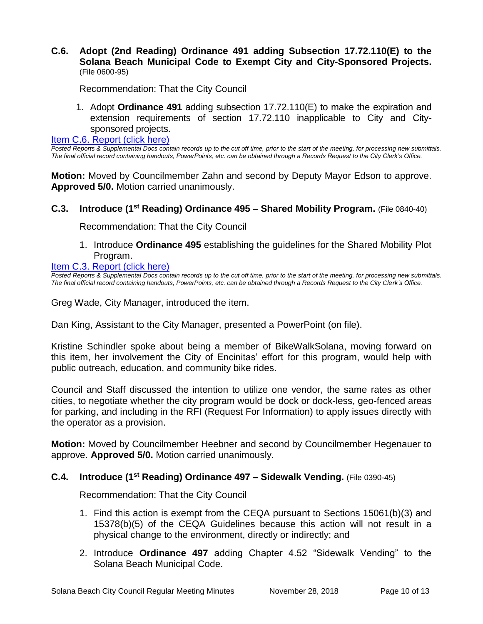# **C.6. Adopt (2nd Reading) Ordinance 491 adding Subsection 17.72.110(E) to the Solana Beach Municipal Code to Exempt City and City-Sponsored Projects.**  (File 0600-95)

Recommendation: That the City Council

1. Adopt **Ordinance 491** adding subsection 17.72.110(E) to make the expiration and extension requirements of section 17.72.110 inapplicable to City and Citysponsored projects.

[Item C.6. Report \(click here\)](https://solanabeach.govoffice3.com/vertical/Sites/%7B840804C2-F869-4904-9AE3-720581350CE7%7D/uploads/Item_C.6._Report_(click_here)_-_11-28-18.PDF) 

*Posted Reports & Supplemental Docs contain records up to the cut off time, prior to the start of the meeting, for processing new submittals. The final official record containing handouts, PowerPoints, etc. can be obtained through a Records Request to the City Clerk's Office.*

**Motion:** Moved by Councilmember Zahn and second by Deputy Mayor Edson to approve. **Approved 5/0.** Motion carried unanimously.

# **C.3. Introduce (1 st Reading) Ordinance 495 – Shared Mobility Program.** (File 0840-40)

Recommendation: That the City Council

1. Introduce **Ordinance 495** establishing the guidelines for the Shared Mobility Plot Program.

[Item C.3. Report \(click here\)](https://solanabeach.govoffice3.com/vertical/Sites/%7B840804C2-F869-4904-9AE3-720581350CE7%7D/uploads/Item_C.3._Report_(click_here)_-_11-28-2018.pdf) 

*Posted Reports & Supplemental Docs contain records up to the cut off time, prior to the start of the meeting, for processing new submittals. The final official record containing handouts, PowerPoints, etc. can be obtained through a Records Request to the City Clerk's Office.*

Greg Wade, City Manager, introduced the item.

Dan King, Assistant to the City Manager, presented a PowerPoint (on file).

Kristine Schindler spoke about being a member of BikeWalkSolana, moving forward on this item, her involvement the City of Encinitas' effort for this program, would help with public outreach, education, and community bike rides.

Council and Staff discussed the intention to utilize one vendor, the same rates as other cities, to negotiate whether the city program would be dock or dock-less, geo-fenced areas for parking, and including in the RFI (Request For Information) to apply issues directly with the operator as a provision.

**Motion:** Moved by Councilmember Heebner and second by Councilmember Hegenauer to approve. **Approved 5/0.** Motion carried unanimously.

#### **C.4. Introduce (1 st Reading) Ordinance 497 – Sidewalk Vending.** (File 0390-45)

Recommendation: That the City Council

- 1. Find this action is exempt from the CEQA pursuant to Sections 15061(b)(3) and 15378(b)(5) of the CEQA Guidelines because this action will not result in a physical change to the environment, directly or indirectly; and
- 2. Introduce **Ordinance 497** adding Chapter 4.52 "Sidewalk Vending" to the Solana Beach Municipal Code.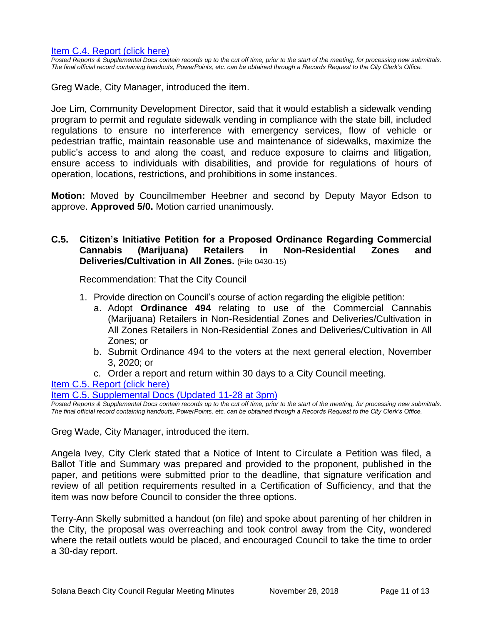*Posted Reports & Supplemental Docs contain records up to the cut off time, prior to the start of the meeting, for processing new submittals. The final official record containing handouts, PowerPoints, etc. can be obtained through a Records Request to the City Clerk's Office.*

Greg Wade, City Manager, introduced the item.

Joe Lim, Community Development Director, said that it would establish a sidewalk vending program to permit and regulate sidewalk vending in compliance with the state bill, included regulations to ensure no interference with emergency services, flow of vehicle or pedestrian traffic, maintain reasonable use and maintenance of sidewalks, maximize the public's access to and along the coast, and reduce exposure to claims and litigation, ensure access to individuals with disabilities, and provide for regulations of hours of operation, locations, restrictions, and prohibitions in some instances.

**Motion:** Moved by Councilmember Heebner and second by Deputy Mayor Edson to approve. **Approved 5/0.** Motion carried unanimously.

# **C.5. Citizen's Initiative Petition for a Proposed Ordinance Regarding Commercial Cannabis (Marijuana) Retailers in Non-Residential Zones and Deliveries/Cultivation in All Zones.** (File 0430-15)

Recommendation: That the City Council

- 1. Provide direction on Council's course of action regarding the eligible petition:
	- a. Adopt **Ordinance 494** relating to use of the Commercial Cannabis (Marijuana) Retailers in Non-Residential Zones and Deliveries/Cultivation in All Zones Retailers in Non-Residential Zones and Deliveries/Cultivation in All Zones; or
	- b. Submit Ordinance 494 to the voters at the next general election, November 3, 2020; or
	- c. Order a report and return within 30 days to a City Council meeting.

#### [Item C.5. Report \(click here\)](https://solanabeach.govoffice3.com/vertical/Sites/%7B840804C2-F869-4904-9AE3-720581350CE7%7D/uploads/Item_C.5._Report_(click_here)_-_11-28-18.PDF)

[Item C.5. Supplemental Docs \(Updated 11-28](https://solanabeach.govoffice3.com/vertical/Sites/%7B840804C2-F869-4904-9AE3-720581350CE7%7D/uploads/Item_C.5._Supplemental_Docs_(updated_11-28_at_3pm).pdf) at 3pm)

*Posted Reports & Supplemental Docs contain records up to the cut off time, prior to the start of the meeting, for processing new submittals. The final official record containing handouts, PowerPoints, etc. can be obtained through a Records Request to the City Clerk's Office.*

Greg Wade, City Manager, introduced the item.

Angela Ivey, City Clerk stated that a Notice of Intent to Circulate a Petition was filed, a Ballot Title and Summary was prepared and provided to the proponent, published in the paper, and petitions were submitted prior to the deadline, that signature verification and review of all petition requirements resulted in a Certification of Sufficiency, and that the item was now before Council to consider the three options.

Terry-Ann Skelly submitted a handout (on file) and spoke about parenting of her children in the City, the proposal was overreaching and took control away from the City, wondered where the retail outlets would be placed, and encouraged Council to take the time to order a 30-day report.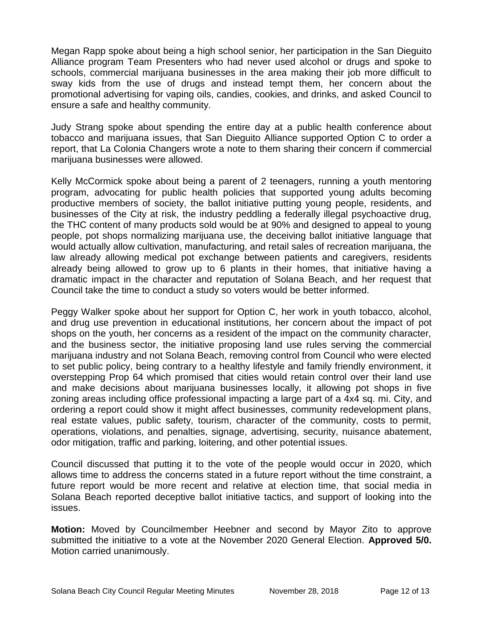Megan Rapp spoke about being a high school senior, her participation in the San Dieguito Alliance program Team Presenters who had never used alcohol or drugs and spoke to schools, commercial marijuana businesses in the area making their job more difficult to sway kids from the use of drugs and instead tempt them, her concern about the promotional advertising for vaping oils, candies, cookies, and drinks, and asked Council to ensure a safe and healthy community.

Judy Strang spoke about spending the entire day at a public health conference about tobacco and marijuana issues, that San Dieguito Alliance supported Option C to order a report, that La Colonia Changers wrote a note to them sharing their concern if commercial marijuana businesses were allowed.

Kelly McCormick spoke about being a parent of 2 teenagers, running a youth mentoring program, advocating for public health policies that supported young adults becoming productive members of society, the ballot initiative putting young people, residents, and businesses of the City at risk, the industry peddling a federally illegal psychoactive drug, the THC content of many products sold would be at 90% and designed to appeal to young people, pot shops normalizing marijuana use, the deceiving ballot initiative language that would actually allow cultivation, manufacturing, and retail sales of recreation marijuana, the law already allowing medical pot exchange between patients and caregivers, residents already being allowed to grow up to 6 plants in their homes, that initiative having a dramatic impact in the character and reputation of Solana Beach, and her request that Council take the time to conduct a study so voters would be better informed.

Peggy Walker spoke about her support for Option C, her work in youth tobacco, alcohol, and drug use prevention in educational institutions, her concern about the impact of pot shops on the youth, her concerns as a resident of the impact on the community character, and the business sector, the initiative proposing land use rules serving the commercial marijuana industry and not Solana Beach, removing control from Council who were elected to set public policy, being contrary to a healthy lifestyle and family friendly environment, it overstepping Prop 64 which promised that cities would retain control over their land use and make decisions about marijuana businesses locally, it allowing pot shops in five zoning areas including office professional impacting a large part of a 4x4 sq. mi. City, and ordering a report could show it might affect businesses, community redevelopment plans, real estate values, public safety, tourism, character of the community, costs to permit, operations, violations, and penalties, signage, advertising, security, nuisance abatement, odor mitigation, traffic and parking, loitering, and other potential issues.

Council discussed that putting it to the vote of the people would occur in 2020, which allows time to address the concerns stated in a future report without the time constraint, a future report would be more recent and relative at election time, that social media in Solana Beach reported deceptive ballot initiative tactics, and support of looking into the issues.

**Motion:** Moved by Councilmember Heebner and second by Mayor Zito to approve submitted the initiative to a vote at the November 2020 General Election. **Approved 5/0.**  Motion carried unanimously.